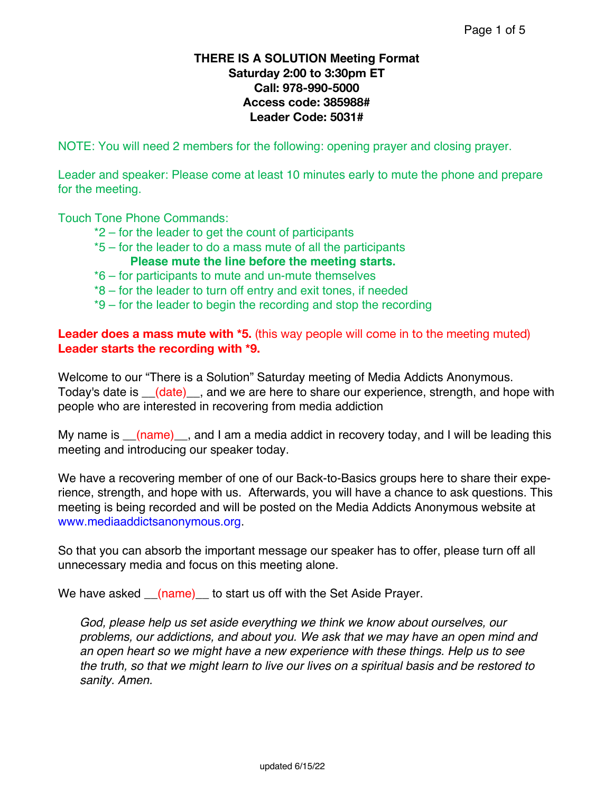## **THERE IS A SOLUTION Meeting Format Saturday 2:00 to 3:30pm ET Call: 978-990-5000 Access code: 385988# Leader Code: 5031#**

NOTE: You will need 2 members for the following: opening prayer and closing prayer.

Leader and speaker: Please come at least 10 minutes early to mute the phone and prepare for the meeting.

Touch Tone Phone Commands:

- \*2 for the leader to get the count of participants
- \*5 for the leader to do a mass mute of all the participants **Please mute the line before the meeting starts.**
- \*6 for participants to mute and un-mute themselves
- \*8 for the leader to turn off entry and exit tones, if needed
- \*9 for the leader to begin the recording and stop the recording

# **Leader does a mass mute with \*5.** (this way people will come in to the meeting muted) **Leader starts the recording with \*9.**

Welcome to our "There is a Solution" Saturday meeting of Media Addicts Anonymous. Today's date is  $\left($  date) and we are here to share our experience, strength, and hope with people who are interested in recovering from media addiction

My name is  $(\text{name})$ , and I am a media addict in recovery today, and I will be leading this meeting and introducing our speaker today.

We have a recovering member of one of our Back-to-Basics groups here to share their experience, strength, and hope with us. Afterwards, you will have a chance to ask questions. This meeting is being recorded and will be posted on the Media Addicts Anonymous website at www.mediaaddictsanonymous.org.

So that you can absorb the important message our speaker has to offer, please turn off all unnecessary media and focus on this meeting alone.

We have asked \_\_(name)\_\_ to start us off with the Set Aside Prayer.

*God, please help us set aside everything we think we know about ourselves, our problems, our addictions, and about you. We ask that we may have an open mind and an open heart so we might have a new experience with these things. Help us to see the truth, so that we might learn to live our lives on a spiritual basis and be restored to sanity. Amen.*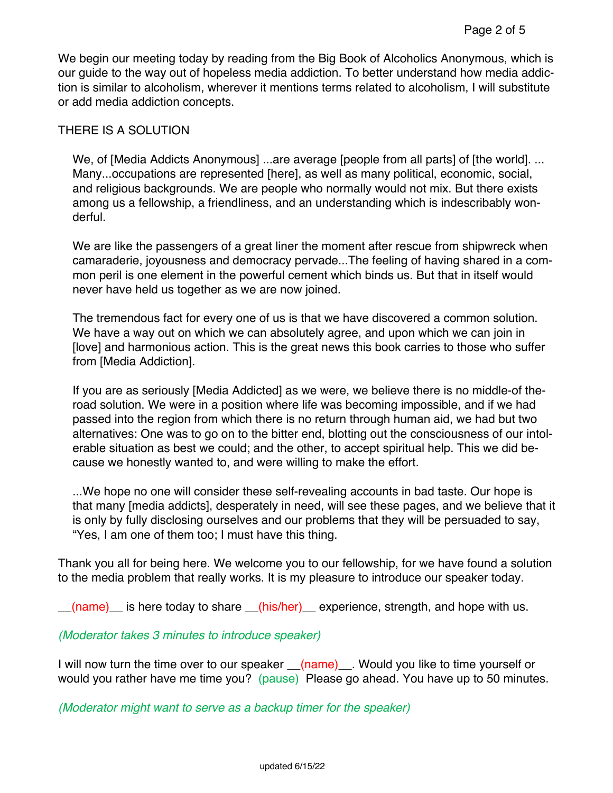We begin our meeting today by reading from the Big Book of Alcoholics Anonymous, which is our guide to the way out of hopeless media addiction. To better understand how media addiction is similar to alcoholism, wherever it mentions terms related to alcoholism, I will substitute or add media addiction concepts.

### THERE IS A SOLUTION

We, of [Media Addicts Anonymous] ...are average [people from all parts] of [the world]. ... Many...occupations are represented [here], as well as many political, economic, social, and religious backgrounds. We are people who normally would not mix. But there exists among us a fellowship, a friendliness, and an understanding which is indescribably wonderful.

We are like the passengers of a great liner the moment after rescue from shipwreck when camaraderie, joyousness and democracy pervade...The feeling of having shared in a common peril is one element in the powerful cement which binds us. But that in itself would never have held us together as we are now joined.

The tremendous fact for every one of us is that we have discovered a common solution. We have a way out on which we can absolutely agree, and upon which we can join in [love] and harmonious action. This is the great news this book carries to those who suffer from [Media Addiction].

If you are as seriously [Media Addicted] as we were, we believe there is no middle-of theroad solution. We were in a position where life was becoming impossible, and if we had passed into the region from which there is no return through human aid, we had but two alternatives: One was to go on to the bitter end, blotting out the consciousness of our intolerable situation as best we could; and the other, to accept spiritual help. This we did because we honestly wanted to, and were willing to make the effort.

...We hope no one will consider these self-revealing accounts in bad taste. Our hope is that many [media addicts], desperately in need, will see these pages, and we believe that it is only by fully disclosing ourselves and our problems that they will be persuaded to say, "Yes, I am one of them too; I must have this thing.

Thank you all for being here. We welcome you to our fellowship, for we have found a solution to the media problem that really works. It is my pleasure to introduce our speaker today.

(name) is here today to share (his/her) experience, strength, and hope with us.

#### *(Moderator takes 3 minutes to introduce speaker)*

I will now turn the time over to our speaker  $(name)$ . Would you like to time yourself or would you rather have me time you? (pause) Please go ahead. You have up to 50 minutes.

*(Moderator might want to serve as a backup timer for the speaker)*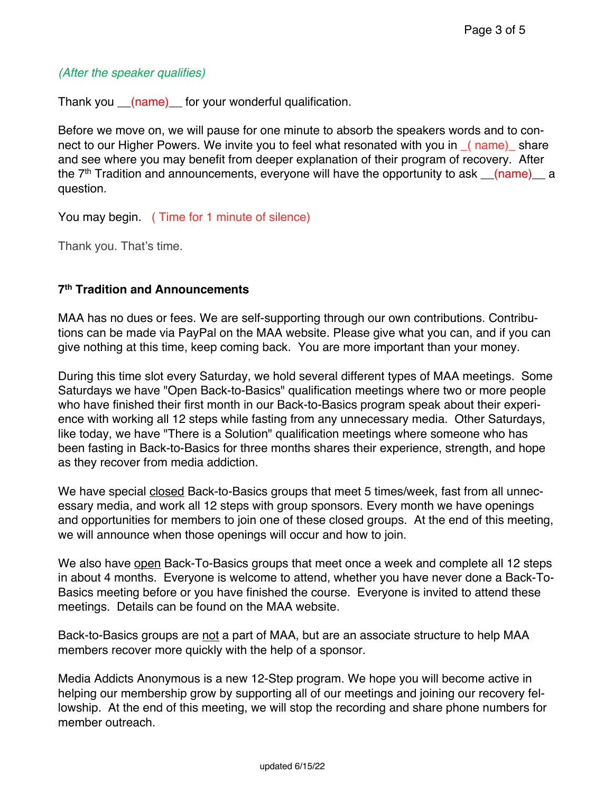### *(After the speaker qualifies)*

Thank you (name) for your wonderful qualification.

Before we move on, we will pause for one minute to absorb the speakers words and to connect to our Higher Powers. We invite you to feel what resonated with you in  $(nam)$  share and see where you may benefit from deeper explanation of their program of recovery. After the  $7<sup>th</sup>$  Tradition and announcements, everyone will have the opportunity to ask  $(\text{name})$  a question.

You may begin. ( Time for 1 minute of silence)

Thank you. That's time.

# **7th Tradition and Announcements**

MAA has no dues or fees. We are self-supporting through our own contributions. Contributions can be made via PayPal on the MAA website. Please give what you can, and if you can give nothing at this time, keep coming back. You are more important than your money.

During this time slot every Saturday, we hold several different types of MAA meetings. Some Saturdays we have "Open Back-to-Basics" qualification meetings where two or more people who have finished their first month in our Back-to-Basics program speak about their experience with working all 12 steps while fasting from any unnecessary media. Other Saturdays, like today, we have "There is a Solution" qualification meetings where someone who has been fasting in Back-to-Basics for three months shares their experience, strength, and hope as they recover from media addiction.

We have special closed Back-to-Basics groups that meet 5 times/week, fast from all unnecessary media, and work all 12 steps with group sponsors. Every month we have openings and opportunities for members to join one of these closed groups. At the end of this meeting, we will announce when those openings will occur and how to join.

We also have open Back-To-Basics groups that meet once a week and complete all 12 steps in about 4 months. Everyone is welcome to attend, whether you have never done a Back-To-Basics meeting before or you have finished the course. Everyone is invited to attend these meetings. Details can be found on the MAA website.

Back-to-Basics groups are not a part of MAA, but are an associate structure to help MAA members recover more quickly with the help of a sponsor.

Media Addicts Anonymous is a new 12-Step program. We hope you will become active in helping our membership grow by supporting all of our meetings and joining our recovery fellowship. At the end of this meeting, we will stop the recording and share phone numbers for member outreach.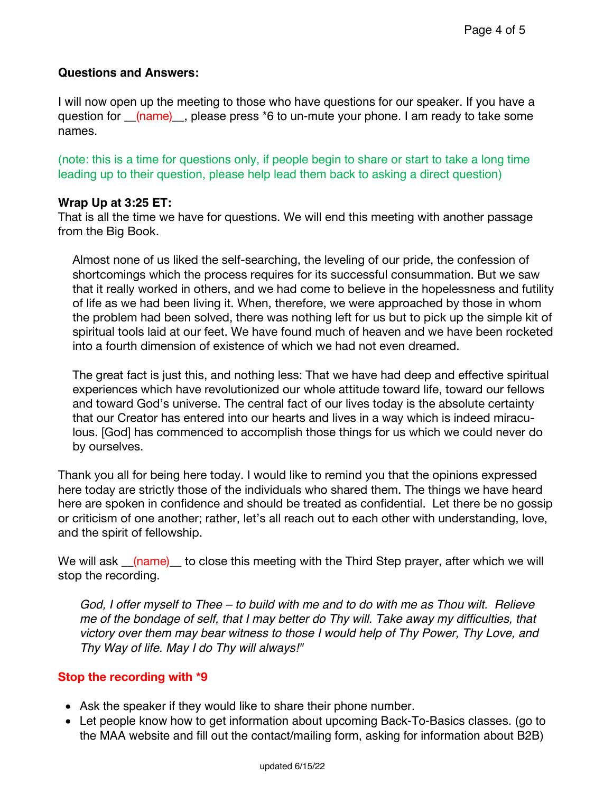# **Questions and Answers:**

I will now open up the meeting to those who have questions for our speaker. If you have a question for  $(mame)$ , please press \*6 to un-mute your phone. I am ready to take some names.

(note: this is a time for questions only, if people begin to share or start to take a long time leading up to their question, please help lead them back to asking a direct question)

# **Wrap Up at 3:25 ET:**

That is all the time we have for questions. We will end this meeting with another passage from the Big Book.

Almost none of us liked the self-searching, the leveling of our pride, the confession of shortcomings which the process requires for its successful consummation. But we saw that it really worked in others, and we had come to believe in the hopelessness and futility of life as we had been living it. When, therefore, we were approached by those in whom the problem had been solved, there was nothing left for us but to pick up the simple kit of spiritual tools laid at our feet. We have found much of heaven and we have been rocketed into a fourth dimension of existence of which we had not even dreamed.

The great fact is just this, and nothing less: That we have had deep and effective spiritual experiences which have revolutionized our whole attitude toward life, toward our fellows and toward God's universe. The central fact of our lives today is the absolute certainty that our Creator has entered into our hearts and lives in a way which is indeed miraculous. [God] has commenced to accomplish those things for us which we could never do by ourselves.

Thank you all for being here today. I would like to remind you that the opinions expressed here today are strictly those of the individuals who shared them. The things we have heard here are spoken in confidence and should be treated as confidential. Let there be no gossip or criticism of one another; rather, let's all reach out to each other with understanding, love, and the spirit of fellowship.

We will ask <u>(name)</u> to close this meeting with the Third Step prayer, after which we will stop the recording.

God, I offer myself to Thee – to build with me and to do with me as Thou wilt. Relieve *me of the bondage of self, that I may better do Thy will. Take away my difficulties, that victory over them may bear witness to those I would help of Thy Power, Thy Love, and Thy Way of life. May I do Thy will always!"*

# **Stop the recording with \*9**

- Ask the speaker if they would like to share their phone number.
- Let people know how to get information about upcoming Back-To-Basics classes. (go to the MAA website and fill out the contact/mailing form, asking for information about B2B)